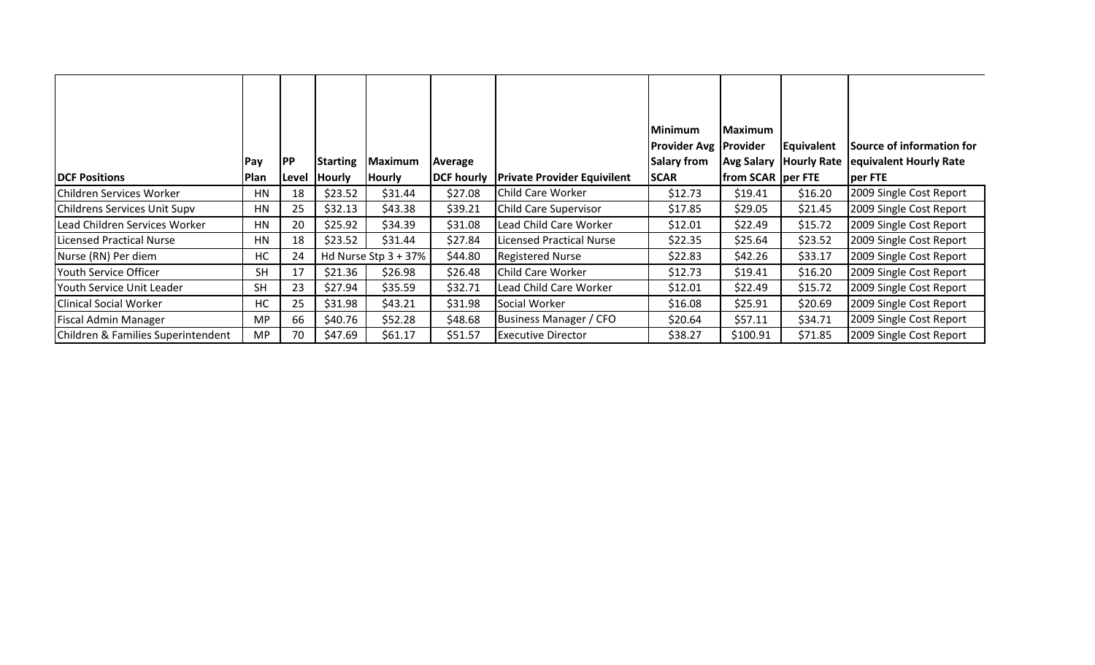| <b>IDCF Positions</b>              | Pay<br>Plan | <b>PP</b><br>Level | Starting<br><b>Hourly</b> | Maximum<br><b>Hourly</b> | Average<br>DCF hourly | <b>Private Provider Equivilent</b> | <b>Minimum</b><br><b>Provider Avg   Provider</b><br><b>Salary from</b><br><b>SCAR</b> | <b>Maximum</b><br><b>Avg Salary</b><br>from SCAR   per FTE | Equivalent<br><b>Hourly Rate</b> | Source of information for<br>equivalent Hourly Rate<br>per FTE |
|------------------------------------|-------------|--------------------|---------------------------|--------------------------|-----------------------|------------------------------------|---------------------------------------------------------------------------------------|------------------------------------------------------------|----------------------------------|----------------------------------------------------------------|
| Children Services Worker           | HN          | 18                 | \$23.52                   | \$31.44                  | \$27.08               | Child Care Worker                  | \$12.73                                                                               | \$19.41                                                    | \$16.20                          | 2009 Single Cost Report                                        |
| Childrens Services Unit Supv       | HN          | 25                 | \$32.13                   | \$43.38                  | \$39.21               | <b>Child Care Supervisor</b>       | \$17.85                                                                               | \$29.05                                                    | \$21.45                          | 2009 Single Cost Report                                        |
| Lead Children Services Worker      | HN          | 20                 | \$25.92                   | \$34.39                  | \$31.08               | Lead Child Care Worker             | \$12.01                                                                               | \$22.49                                                    | \$15.72                          | 2009 Single Cost Report                                        |
| <b>Licensed Practical Nurse</b>    | HN          | 18                 | \$23.52                   | \$31.44                  | \$27.84               | Licensed Practical Nurse           | \$22.35                                                                               | \$25.64                                                    | \$23.52                          | 2009 Single Cost Report                                        |
| Nurse (RN) Per diem                | HC          | 24                 |                           | Hd Nurse Stp $3 + 37\%$  | \$44.80               | Registered Nurse                   | \$22.83                                                                               | \$42.26                                                    | \$33.17                          | 2009 Single Cost Report                                        |
| Youth Service Officer              | <b>SH</b>   | 17                 | \$21.36                   | \$26.98                  | \$26.48               | Child Care Worker                  | \$12.73                                                                               | \$19.41                                                    | \$16.20                          | 2009 Single Cost Report                                        |
| Youth Service Unit Leader          | <b>SH</b>   | 23                 | \$27.94                   | \$35.59                  | \$32.71               | Lead Child Care Worker             | \$12.01                                                                               | \$22.49                                                    | \$15.72                          | 2009 Single Cost Report                                        |
| <b>Clinical Social Worker</b>      | HC          | 25                 | \$31.98                   | \$43.21                  | \$31.98               | Social Worker                      | \$16.08                                                                               | \$25.91                                                    | \$20.69                          | 2009 Single Cost Report                                        |
| <b>Fiscal Admin Manager</b>        | <b>MP</b>   | 66                 | \$40.76                   | \$52.28                  | \$48.68               | Business Manager / CFO             | \$20.64                                                                               | \$57.11                                                    | \$34.71                          | 2009 Single Cost Report                                        |
| Children & Families Superintendent | <b>MP</b>   | 70                 | \$47.69                   | \$61.17                  | \$51.57               | <b>Executive Director</b>          | \$38.27                                                                               | \$100.91                                                   | \$71.85                          | 2009 Single Cost Report                                        |